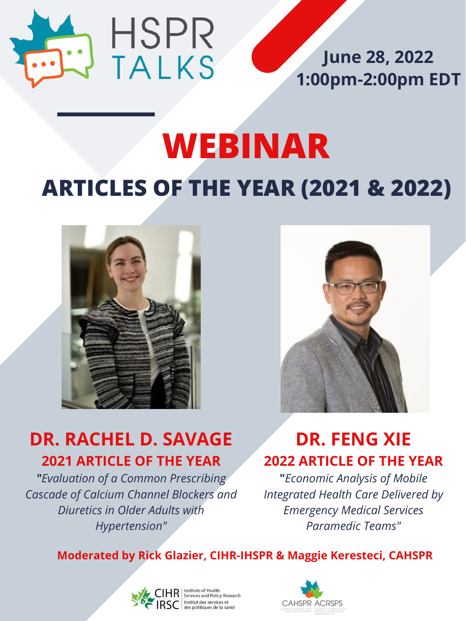# **ARTICLES OF THE YEAR (2021 & 2022) WEBINAR**





# **DR. RACHEL D. SAVAGE 2021 ARTICLE OF THE YEAR**

*"Evaluation of a Common Prescribing Cascade of Calcium Channel Blockers and Diuretics in Older Adults with Hypertension"*



### **June 28, 2022 1:00pm-2:00pm EDT**

### **DR. FENG XIE 2022 ARTICLE OF THE YEAR**

**"***Economic Analysis of Mobile Integrated Health Care Delivered by Emergency Medical Services Paramedic Teams"*

#### **Moderated by Rick Glazier, CIHR-IHSPR & Maggie Keresteci, CAHSPR**



des politiques de la santé

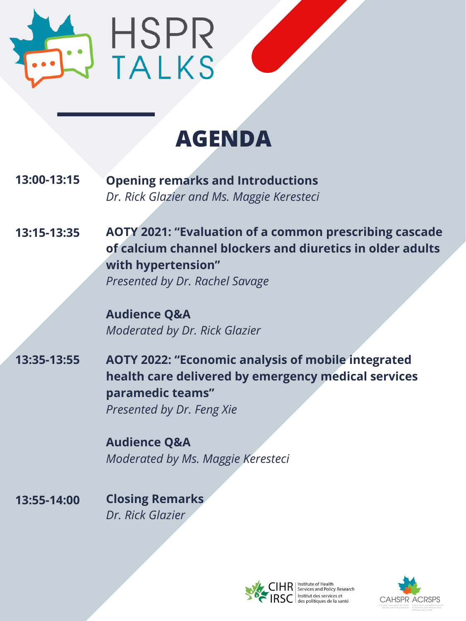

# **AGENDA**

**13:15-13:35**

**13:00-13:15 Opening remarks and Introductions** *Dr. Rick Glazier and Ms. Maggie Keresteci*

> **AOTY 2021: "Evaluation of a common prescribing cascade of calcium channel blockers and diuretics in older adults with hypertension"** *Presented by Dr. Rachel Savage*

**Audience Q&A**

*Moderated by Dr. Rick Glazier*

**13:35-13:55 AOTY 2022: "Economic analysis of mobile integrated health care delivered by emergency medical services paramedic teams"** *Presented by Dr. Feng Xie*

> **Audience Q&A** *Moderated by Ms. Maggie Keresteci*

**13:55-14:00 Closing Remarks** *Dr. Rick Glazier*



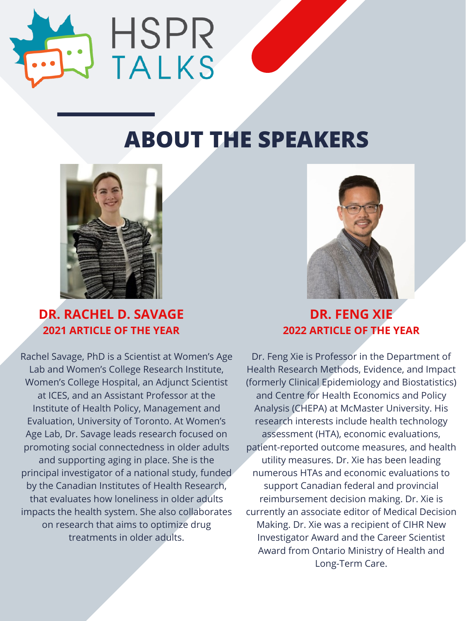

# **ABOUT THE SPEAKERS**







#### **2021 ARTICLE OF THE YEAR**

**DR. FENG XIE**

#### **2022 ARTICLE OF THE YEAR**

Rachel Savage, PhD is a Scientist at Women's Age Lab and Women's College Research Institute, Women's College Hospital, an Adjunct Scientist at ICES, and an Assistant Professor at the Institute of Health Policy, Management and Evaluation, University of Toronto. At Women's Age Lab, Dr. Savage leads research focused on promoting social connectedness in older adults and supporting aging in place. She is the principal investigator of a national study, funded by the Canadian Institutes of Health Research, that evaluates how loneliness in older adults impacts the health system. She also collaborates on research that aims to optimize drug treatments in older adults.

Dr. Feng Xie is Professor in the Department of Health Research Methods, Evidence, and Impact (formerly Clinical Epidemiology and Biostatistics) and Centre for Health Economics and Policy Analysis (CHEPA) at McMaster University. His research interests include health technology assessment (HTA), economic evaluations, patient-reported outcome measures, and health utility measures. Dr. Xie has been leading numerous HTAs and economic evaluations to support Canadian federal and provincial reimbursement decision making. Dr. Xie is currently an associate editor of Medical Decision Making. Dr. Xie was a recipient of CIHR New Investigator Award and the Career Scientist Award from Ontario Ministry of Health and Long-Term Care.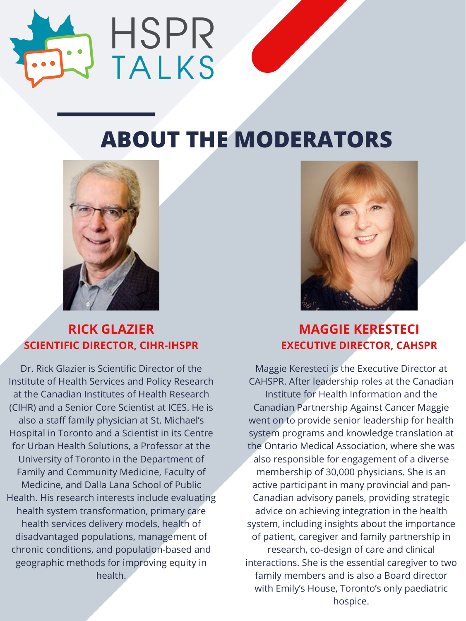

# **ABOUT THE MODERATORS**





#### **RICK GLAZIER SCIENTIFIC DIRECTOR, CIHR-IHSPR**

#### **MAGGIE KERESTECI EXECUTIVE DIRECTOR, CAHSPR**

Dr. Rick Glazier is Scientific Director of the Institute of Health Services and Policy Research at the Canadian Institutes of Health Research (CIHR) and a Senior Core Scientist at ICES. He is also a staff family physician at St. Michael's Hospital in Toronto and a Scientist in its Centre for Urban Health Solutions, a Professor at the University of Toronto in the Department of Family and Community Medicine, Faculty of Medicine, and Dalla Lana School of Public Health. His research interests include evaluating health system transformation, primary care health services delivery models, health of disadvantaged populations, management of chronic conditions, and population-based and geographic methods for improving equity in health.

Maggie Keresteci is the Executive Director at CAHSPR. After leadership roles at the Canadian Institute for Health Information and the Canadian Partnership Against Cancer Maggie went on to provide senior leadership for health system programs and knowledge translation at the Ontario Medical Association, where she was also responsible for engagement of a diverse membership of 30,000 physicians. She is an active participant in many provincial and pan-Canadian advisory panels, providing strategic advice on achieving integration in the health system, including insights about the importance of patient, caregiver and family partnership in research, co-design of care and clinical interactions. She is the essential caregiver to two family members and is also a Board director with Emily's House, Toronto's only paediatric hospice.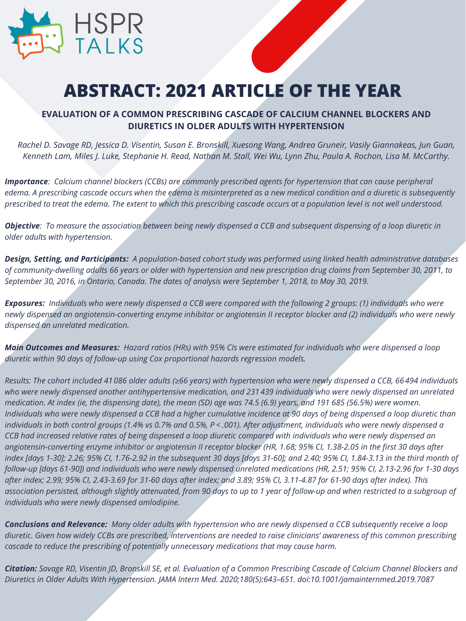

## **ABSTRACT: 2021 ARTICLE OF THE YEAR**

#### **[EVALUATION OF A COMMON PRESCRIBING CASCADE OF CALCIUM CHANNEL BLOCKERS AND](https://jamanetwork.com/journals/jamainternalmedicine/fullarticle/2761272#:~:text=Findings%20In%20a%20population%2Dbased,n%20%3D%20231%20439)%20who%20began) DIURETICS IN OLDER ADULTS WITH HYPERTENSION**

Rachel D. Savage RD, Jessica D. Visentin, Susan E. Bronskill, Xuesong Wang, Andrea Gruneir, Vasily Giannakeas, Jun Guan, Kenneth Lam, Miles J. Luke, Stephanie H. Read, Nathan M. Stall, Wei Wu, Lynn Zhu, Paula A. Rochon, Lisa M. McCarthy.

**Importance:** Calcium channel blockers (CCBs) are commonly prescribed agents for hypertension that can cause peripheral edema. A prescribing cascade occurs when the edema is misinterpreted as a new medical condition and a diuretic is subsequently prescribed to treat the edema. The extent to which this prescribing cascade occurs at a population level is not well understood.

Objective: To measure the association between being newly dispensed a CCB and subsequent dispensing of a loop diuretic in *older adults with hypertension.*

Design, Setting, and Participants: A population-based cohort study was performed using linked health administrative databases of community-dwelling adults 66 years or older with hypertension and new prescription drug claims from September 30, 2011, to September 30, 2016, in Ontario, Canada. The dates of analysis were September 1, 2018, to May 30, 2019.

Exposures: Individuals who were newly dispensed a CCB were compared with the following 2 groups: (1) individuals who were newly dispensed an angiotensin-converting enzyme inhibitor or angiotensin II receptor blocker and (2) individuals who were newly *dispensed an unrelated medication.*

Main Outcomes and Measures: Hazard ratios (HRs) with 95% CIs were estimated for individuals who were dispensed a loop *diuretic within 90 days of follow-up using Cox proportional hazards regression models.*

Results: The cohort included 41 086 older adults ( $\geq 66$  years) with hypertension who were newly dispensed a CCB, 66 494 individuals who were newly dispensed another antihypertensive medication, and 231 439 individuals who were newly dispensed an unrelated medication. At index (ie, the dispensing date), the mean (SD) age was 74.5 (6.9) years, and 191 685 (56.5%) were women. Individuals who were newly dispensed a CCB had a higher cumulative incidence at 90 days of being dispensed a loop diuretic than individuals in both control groups (1.4% vs 0.7% and 0.5%, P < .001). After adjustment, individuals who were newly dispensed a CCB had increased relative rates of being dispensed a loop diuretic compared with individuals who were newly dispensed an angiotensin-converting enzyme inhibitor or angiotensin II receptor blocker (HR, 1.68; 95% CI, 1.38-2.05 in the first 30 days after index [days 1-30]; 2.26; 95% Cl, 1.76-2.92 in the subsequent 30 days [days 31-60]; and 2.40; 95% Cl, 1.84-3.13 in the third month of follow-up [days 61-90]) and individuals who were newly dispensed unrelated medications (HR, 2.51; 95% CI, 2.13-2.96 for 1-30 days after index; 2.99; 95% CI, 2.43-3.69 for 31-60 days after index; and 3.89; 95% CI, 3.11-4.87 for 61-90 days after index). This association persisted, although slightly attenuated, from 90 days to up to 1 year of follow-up and when restricted to a subgroup of *individuals who were newly dispensed amlodipine.*

**Conclusions and Relevance:** Many older adults with hypertension who are newly dispensed a CCB subsequently receive a loop diuretic. Given how widely CCBs are prescribed, interventions are needed to raise clinicians' awareness of this common prescribing *cascade to reduce the prescribing of potentially unnecessary medications that may cause harm.*

Citation: Savage RD, Visentin JD, Bronskill SE, et al. Evaluation of a Common Prescribing Cascade of Calcium Channel Blockers and *Diuretics in Older Adults With Hypertension. JAMA Intern Med. 2020;180(5):643–651. doi:10.1001/jamainternmed.2019.7087*